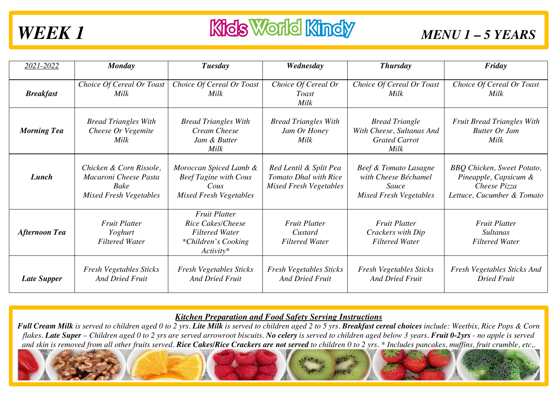| 2021-2022            | <b>Monday</b>                                                                             | Tuesday                                                                                                   | Wednesday                                                                        | <b>Thursday</b>                                                                         | Friday                                                                                                   |
|----------------------|-------------------------------------------------------------------------------------------|-----------------------------------------------------------------------------------------------------------|----------------------------------------------------------------------------------|-----------------------------------------------------------------------------------------|----------------------------------------------------------------------------------------------------------|
| <b>Breakfast</b>     | Choice Of Cereal Or Toast<br><b>Milk</b>                                                  | Choice Of Cereal Or Toast<br>Milk                                                                         | Choice Of Cereal Or<br>Toast<br>Milk                                             | Choice Of Cereal Or Toast<br>Milk                                                       | Choice Of Cereal Or Toast<br>Milk                                                                        |
| <b>Morning Tea</b>   | <b>Bread Triangles With</b><br>Cheese Or Vegemite<br><b>Milk</b>                          | <b>Bread Triangles With</b><br>Cream Cheese<br>Jam & Butter<br>Milk                                       | <b>Bread Triangles With</b><br>Jam Or Honey<br>Milk                              | <b>Bread Triangle</b><br>With Cheese, Sultanas And<br><b>Grated Carrot</b><br>Milk      | <b>Fruit Bread Triangles With</b><br><b>Butter Or Jam</b><br>Milk                                        |
| Lunch                | Chicken & Corn Rissole,<br>Macaroni Cheese Pasta<br>Bake<br><b>Mixed Fresh Vegetables</b> | Moroccan Spiced Lamb &<br><b>Beef Tagine with Cous</b><br>Cous<br><b>Mixed Fresh Vegetables</b>           | Red Lentil & Split Pea<br>Tomato Dhal with Rice<br><b>Mixed Fresh Vegetables</b> | Beef & Tomato Lasagne<br>with Cheese Béchamel<br>Sauce<br><b>Mixed Fresh Vegetables</b> | <b>BBQ</b> Chicken, Sweet Potato,<br>Pineapple, Capsicum &<br>Cheese Pizza<br>Lettuce, Cucumber & Tomato |
| <b>Afternoon Tea</b> | <b>Fruit Platter</b><br>Yoghurt<br><b>Filtered Water</b>                                  | <b>Fruit Platter</b><br>Rice Cakes/Cheese<br><b>Filtered Water</b><br>*Children's Cooking<br>$Activity^*$ | <b>Fruit Platter</b><br>Custard<br><b>Filtered Water</b>                         | <b>Fruit Platter</b><br>Crackers with Dip<br><b>Filtered Water</b>                      | <b>Fruit Platter</b><br><i>Sultanas</i><br><b>Filtered Water</b>                                         |
| <b>Late Supper</b>   | <b>Fresh Vegetables Sticks</b><br><b>And Dried Fruit</b>                                  | <b>Fresh Vegetables Sticks</b><br><b>And Dried Fruit</b>                                                  | <b>Fresh Vegetables Sticks</b><br><b>And Dried Fruit</b>                         | <b>Fresh Vegetables Sticks</b><br><b>And Dried Fruit</b>                                | Fresh Vegetables Sticks And<br><b>Dried Fruit</b>                                                        |

### *Kitchen Preparation and Food Safety Serving Instructions*

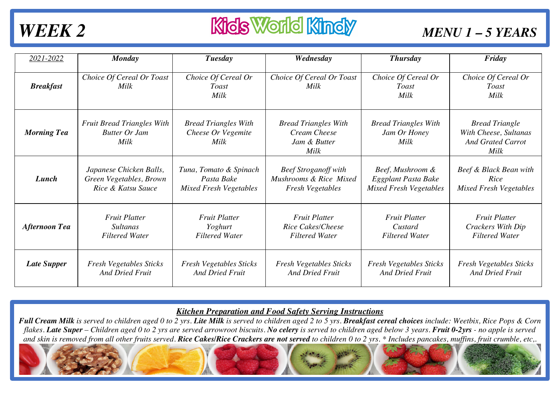# **WEEK 2** *MENU 1 - 5 YEARS*

| 2021-2022            | <b>Monday</b>                                                     | Tuesday                                                   | Wednesday                                                           | Thursday                                            | Friday                                                                      |
|----------------------|-------------------------------------------------------------------|-----------------------------------------------------------|---------------------------------------------------------------------|-----------------------------------------------------|-----------------------------------------------------------------------------|
| <b>Breakfast</b>     | Choice Of Cereal Or Toast<br>Milk                                 | Choice Of Cereal Or<br><i>Toast</i><br>Milk               | Choice Of Cereal Or Toast<br>Milk                                   | Choice Of Cereal Or<br><i>Toast</i><br>Milk         | Choice Of Cereal Or<br><b>Toast</b><br>Milk                                 |
| <b>Morning Tea</b>   | <b>Fruit Bread Triangles With</b><br><b>Butter Or Jam</b><br>Milk | <b>Bread Triangles With</b><br>Cheese Or Vegemite<br>Milk | <b>Bread Triangles With</b><br>Cream Cheese<br>Jam & Butter<br>Milk | <b>Bread Triangles With</b><br>Jam Or Honey<br>Milk | <b>Bread Triangle</b><br>With Cheese, Sultanas<br>And Grated Carrot<br>Milk |
| Lunch                | Japanese Chicken Balls,                                           | Tuna, Tomato & Spinach                                    | <b>Beef Stroganoff with</b>                                         | Beef, Mushroom &                                    | Beef & Black Bean with                                                      |
|                      | Green Vegetables, Brown                                           | Pasta Bake                                                | Mushrooms & Rice Mixed                                              | Eggplant Pasta Bake                                 | Rice                                                                        |
|                      | Rice & Katsu Sauce                                                | <b>Mixed Fresh Vegetables</b>                             | <b>Fresh Vegetables</b>                                             | <b>Mixed Fresh Vegetables</b>                       | <b>Mixed Fresh Vegetables</b>                                               |
| <b>Afternoon Tea</b> | <b>Fruit Platter</b>                                              | <b>Fruit Platter</b>                                      | <b>Fruit Platter</b>                                                | <b>Fruit Platter</b>                                | <b>Fruit Platter</b>                                                        |
|                      | <i>Sultanas</i>                                                   | Yoghurt                                                   | Rice Cakes/Cheese                                                   | Custard                                             | Crackers With Dip                                                           |
|                      | <b>Filtered Water</b>                                             | <b>Filtered Water</b>                                     | <b>Filtered Water</b>                                               | <b>Filtered Water</b>                               | <b>Filtered Water</b>                                                       |
| <b>Late Supper</b>   | <b>Fresh Vegetables Sticks</b>                                    | <b>Fresh Vegetables Sticks</b>                            | Fresh Vegetables Sticks                                             | <b>Fresh Vegetables Sticks</b>                      | Fresh Vegetables Sticks                                                     |
|                      | <b>And Dried Fruit</b>                                            | <b>And Dried Fruit</b>                                    | <b>And Dried Fruit</b>                                              | <b>And Dried Fruit</b>                              | <b>And Dried Fruit</b>                                                      |

### *Kitchen Preparation and Food Safety Serving Instructions*

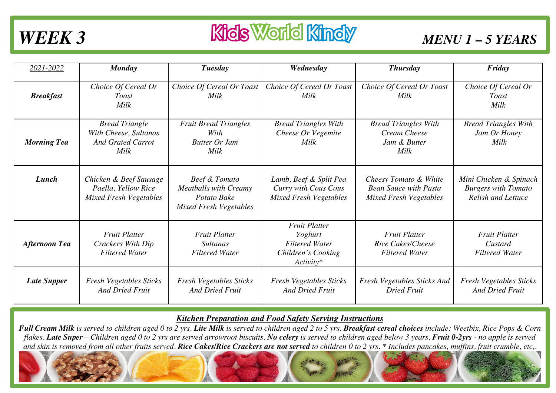## **WEEK 3** *MENU 1 - 5 YEARS*

| 2021-2022            | Monday                                                                             | Tuesday                                                                                       | Wednesday                                                                                      | Thursday                                                                               | Friday                                                                            |
|----------------------|------------------------------------------------------------------------------------|-----------------------------------------------------------------------------------------------|------------------------------------------------------------------------------------------------|----------------------------------------------------------------------------------------|-----------------------------------------------------------------------------------|
| <b>Breakfast</b>     | Choice Of Cereal Or<br>Toast<br>Milk                                               | Choice Of Cereal Or Toast<br>Milk                                                             | Choice Of Cereal Or Toast<br>Milk                                                              | Choice Of Cereal Or Toast<br>Milk                                                      | Choice Of Cereal Or<br><b>Toast</b><br>Milk                                       |
| <b>Morning Tea</b>   | <b>Bread Triangle</b><br>With Cheese, Sultanas<br><b>And Grated Carrot</b><br>Milk | <b>Fruit Bread Triangles</b><br>With<br><b>Butter Or Jam</b><br>Milk                          | <b>Bread Triangles With</b><br>Cheese Or Vegemite<br>Milk                                      | <b>Bread Triangles With</b><br>Cream Cheese<br>Jam & Butter<br>Milk                    | <b>Bread Triangles With</b><br>Jam Or Honey<br>Milk                               |
| Lunch                | Chicken & Beef Sausage<br>Paella, Yellow Rice<br><b>Mixed Fresh Vegetables</b>     | Beef & Tomato<br><b>Meatballs with Creamy</b><br>Potato Bake<br><b>Mixed Fresh Vegetables</b> | Lamb, Beef & Split Pea<br>Curry with Cous Cous<br><b>Mixed Fresh Vegetables</b>                | Cheesy Tomato & White<br><b>Bean Sauce with Pasta</b><br><b>Mixed Fresh Vegetables</b> | Mini Chicken & Spinach<br><b>Burgers with Tomato</b><br><b>Relish and Lettuce</b> |
| <b>Afternoon Tea</b> | <b>Fruit Platter</b><br>Crackers With Dip<br><b>Filtered Water</b>                 | <b>Fruit Platter</b><br><b>Sultanas</b><br><b>Filtered Water</b>                              | <b>Fruit Platter</b><br>Yoghurt<br><b>Filtered Water</b><br>Children's Cooking<br>$Activity^*$ | <b>Fruit Platter</b><br>Rice Cakes/Cheese<br><b>Filtered Water</b>                     | <b>Fruit Platter</b><br>Custard<br><b>Filtered Water</b>                          |
| <b>Late Supper</b>   | <b>Fresh Vegetables Sticks</b><br><b>And Dried Fruit</b>                           | <b>Fresh Vegetables Sticks</b><br><b>And Dried Fruit</b>                                      | <b>Fresh Vegetables Sticks</b><br><b>And Dried Fruit</b>                                       | <b>Fresh Vegetables Sticks And</b><br><b>Dried Fruit</b>                               | <b>Fresh Vegetables Sticks</b><br><b>And Dried Fruit</b>                          |

### *Kitchen Preparation and Food Safety Serving Instructions*

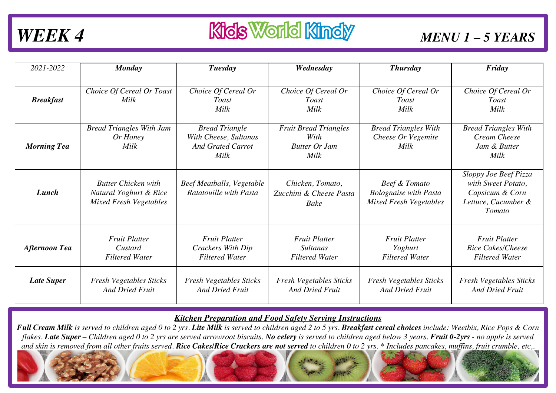| 2021-2022            | Monday                                                                                | Tuesday                                                                            | Wednesday                                                            | <b>Thursday</b>                                                                | Friday                                                                                          |
|----------------------|---------------------------------------------------------------------------------------|------------------------------------------------------------------------------------|----------------------------------------------------------------------|--------------------------------------------------------------------------------|-------------------------------------------------------------------------------------------------|
|                      |                                                                                       |                                                                                    |                                                                      |                                                                                |                                                                                                 |
| <b>Breakfast</b>     | Choice Of Cereal Or Toast<br>Milk                                                     | Choice Of Cereal Or<br>Toast<br>Milk                                               | Choice Of Cereal Or<br><b>Toast</b><br>Milk                          | Choice Of Cereal Or<br><i>Toast</i><br>Milk                                    | Choice Of Cereal Or<br><b>Toast</b><br>Milk                                                     |
| <b>Morning Tea</b>   | <b>Bread Triangles With Jam</b><br>Or Honey<br>Milk                                   | <b>Bread Triangle</b><br>With Cheese, Sultanas<br><b>And Grated Carrot</b><br>Milk | <b>Fruit Bread Triangles</b><br>With<br><b>Butter Or Jam</b><br>Milk | <b>Bread Triangles With</b><br>Cheese Or Vegemite<br>Milk                      | <b>Bread Triangles With</b><br>Cream Cheese<br>Jam & Butter<br>Milk                             |
| Lunch                | <b>Butter Chicken with</b><br>Natural Yoghurt & Rice<br><b>Mixed Fresh Vegetables</b> | Beef Meatballs, Vegetable<br>Ratatouille with Pasta                                | Chicken, Tomato,<br>Zucchini & Cheese Pasta<br>Bake                  | Beef & Tomato<br><b>Bolognaise with Pasta</b><br><b>Mixed Fresh Vegetables</b> | Sloppy Joe Beef Pizza<br>with Sweet Potato,<br>Capsicum & Corn<br>Lettuce, Cucumber &<br>Tomato |
| <b>Afternoon Tea</b> | <b>Fruit Platter</b><br>Custard<br><b>Filtered Water</b>                              | <b>Fruit Platter</b><br>Crackers With Dip<br><b>Filtered Water</b>                 | <b>Fruit Platter</b><br><b>Sultanas</b><br><b>Filtered Water</b>     | <b>Fruit Platter</b><br>Yoghurt<br><b>Filtered Water</b>                       | <b>Fruit Platter</b><br>Rice Cakes/Cheese<br><b>Filtered Water</b>                              |
| <b>Late Super</b>    | <b>Fresh Vegetables Sticks</b><br><b>And Dried Fruit</b>                              | <b>Fresh Vegetables Sticks</b><br><b>And Dried Fruit</b>                           | <b>Fresh Vegetables Sticks</b><br><b>And Dried Fruit</b>             | <b>Fresh Vegetables Sticks</b><br><b>And Dried Fruit</b>                       | <b>Fresh Vegetables Sticks</b><br><b>And Dried Fruit</b>                                        |

### *Kitchen Preparation and Food Safety Serving Instructions*

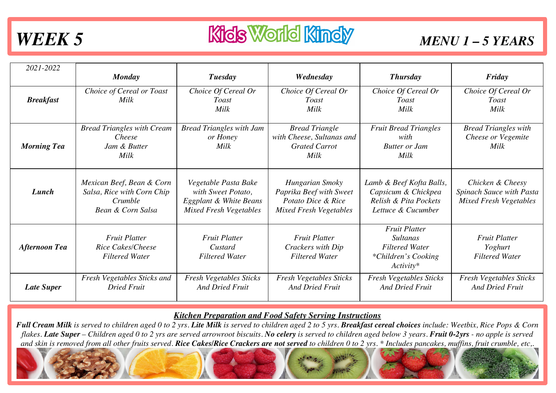## WEEK 5 **Kids World Kindy** *MENU 1 - 5 YEARS*

| 2021-2022            |                                                                                         |                                                                                                       |                                                                                                   |                                                                                                        |                                                                               |
|----------------------|-----------------------------------------------------------------------------------------|-------------------------------------------------------------------------------------------------------|---------------------------------------------------------------------------------------------------|--------------------------------------------------------------------------------------------------------|-------------------------------------------------------------------------------|
|                      | <b>Monday</b>                                                                           | Tuesday                                                                                               | Wednesday                                                                                         | <b>Thursday</b>                                                                                        | Friday                                                                        |
| <b>Breakfast</b>     | Choice of Cereal or Toast<br>Milk                                                       | Choice Of Cereal Or<br><b>Toast</b><br>Milk                                                           | Choice Of Cereal Or<br><b>Toast</b><br><b>Milk</b>                                                | Choice Of Cereal Or<br><b>Toast</b><br>Milk                                                            | Choice Of Cereal Or<br><b>Toast</b><br>Milk                                   |
| <b>Morning Tea</b>   | <b>Bread Triangles with Cream</b><br>Cheese<br>Jam & Butter<br>Milk                     | <b>Bread Triangles with Jam</b><br>or Honey<br>Milk                                                   | <b>Bread Triangle</b><br>with Cheese, Sultanas and<br><b>Grated Carrot</b><br>Milk                | <b>Fruit Bread Triangles</b><br>with<br><b>Butter or Jam</b><br>Milk                                   | <b>Bread Triangles with</b><br>Cheese or Vegemite<br>Milk                     |
| Lunch                | Mexican Beef, Bean & Corn<br>Salsa, Rice with Corn Chip<br>Crumble<br>Bean & Corn Salsa | Vegetable Pasta Bake<br>with Sweet Potato,<br>Eggplant & White Beans<br><b>Mixed Fresh Vegetables</b> | Hungarian Smoky<br>Paprika Beef with Sweet<br>Potato Dice & Rice<br><b>Mixed Fresh Vegetables</b> | Lamb & Beef Kofta Balls,<br>Capsicum & Chickpea<br>Relish & Pita Pockets<br>Lettuce & Cucumber         | Chicken & Cheesy<br>Spinach Sauce with Pasta<br><b>Mixed Fresh Vegetables</b> |
| <b>Afternoon Tea</b> | <b>Fruit Platter</b><br>Rice Cakes/Cheese<br><b>Filtered Water</b>                      | <b>Fruit Platter</b><br>Custard<br><b>Filtered Water</b>                                              | <b>Fruit Platter</b><br>Crackers with Dip<br><b>Filtered Water</b>                                | <b>Fruit Platter</b><br><b>Sultanas</b><br><b>Filtered Water</b><br>*Children's Cooking<br>$Activity*$ | <b>Fruit Platter</b><br>Yoghurt<br><b>Filtered Water</b>                      |
| <b>Late Super</b>    | Fresh Vegetables Sticks and<br><b>Dried Fruit</b>                                       | <b>Fresh Vegetables Sticks</b><br><b>And Dried Fruit</b>                                              | <b>Fresh Vegetables Sticks</b><br><b>And Dried Fruit</b>                                          | <b>Fresh Vegetables Sticks</b><br><b>And Dried Fruit</b>                                               | <b>Fresh Vegetables Sticks</b><br><b>And Dried Fruit</b>                      |

### *Kitchen Preparation and Food Safety Serving Instructions*